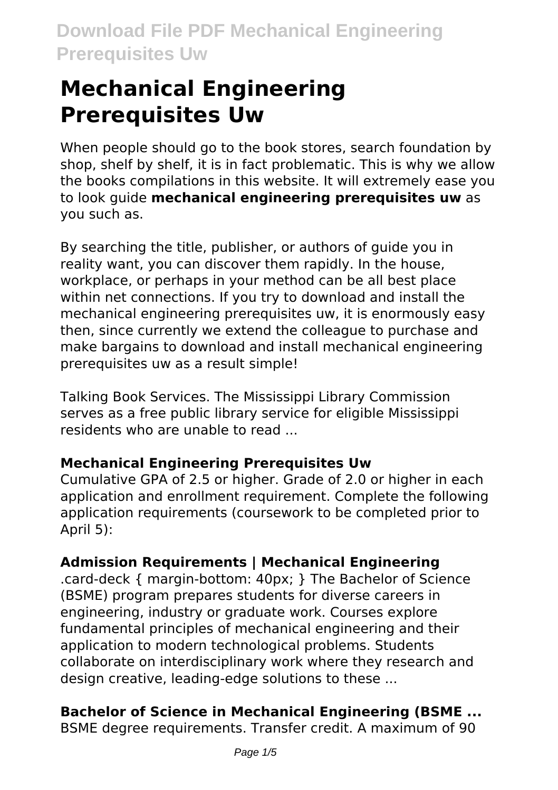# **Mechanical Engineering Prerequisites Uw**

When people should go to the book stores, search foundation by shop, shelf by shelf, it is in fact problematic. This is why we allow the books compilations in this website. It will extremely ease you to look guide **mechanical engineering prerequisites uw** as you such as.

By searching the title, publisher, or authors of guide you in reality want, you can discover them rapidly. In the house, workplace, or perhaps in your method can be all best place within net connections. If you try to download and install the mechanical engineering prerequisites uw, it is enormously easy then, since currently we extend the colleague to purchase and make bargains to download and install mechanical engineering prerequisites uw as a result simple!

Talking Book Services. The Mississippi Library Commission serves as a free public library service for eligible Mississippi residents who are unable to read ...

### **Mechanical Engineering Prerequisites Uw**

Cumulative GPA of 2.5 or higher. Grade of 2.0 or higher in each application and enrollment requirement. Complete the following application requirements (coursework to be completed prior to April 5):

### **Admission Requirements | Mechanical Engineering**

.card-deck { margin-bottom: 40px; } The Bachelor of Science (BSME) program prepares students for diverse careers in engineering, industry or graduate work. Courses explore fundamental principles of mechanical engineering and their application to modern technological problems. Students collaborate on interdisciplinary work where they research and design creative, leading-edge solutions to these ...

### **Bachelor of Science in Mechanical Engineering (BSME ...**

BSME degree requirements. Transfer credit. A maximum of 90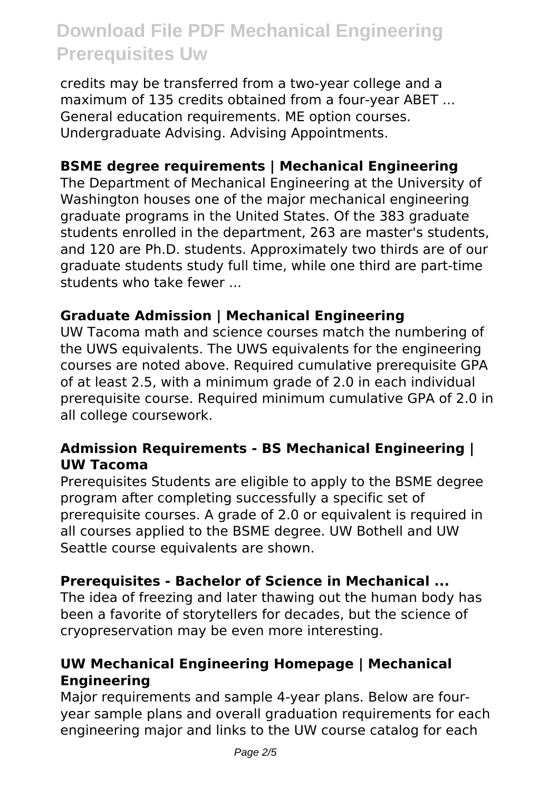credits may be transferred from a two-year college and a maximum of 135 credits obtained from a four-year ABET ... General education requirements. ME option courses. Undergraduate Advising. Advising Appointments.

#### **BSME degree requirements | Mechanical Engineering**

The Department of Mechanical Engineering at the University of Washington houses one of the major mechanical engineering graduate programs in the United States. Of the 383 graduate students enrolled in the department, 263 are master's students, and 120 are Ph.D. students. Approximately two thirds are of our graduate students study full time, while one third are part-time students who take fewer ...

#### **Graduate Admission | Mechanical Engineering**

UW Tacoma math and science courses match the numbering of the UWS equivalents. The UWS equivalents for the engineering courses are noted above. Required cumulative prerequisite GPA of at least 2.5, with a minimum grade of 2.0 in each individual prerequisite course. Required minimum cumulative GPA of 2.0 in all college coursework.

#### **Admission Requirements - BS Mechanical Engineering | UW Tacoma**

Prerequisites Students are eligible to apply to the BSME degree program after completing successfully a specific set of prerequisite courses. A grade of 2.0 or equivalent is required in all courses applied to the BSME degree. UW Bothell and UW Seattle course equivalents are shown.

#### **Prerequisites - Bachelor of Science in Mechanical ...**

The idea of freezing and later thawing out the human body has been a favorite of storytellers for decades, but the science of cryopreservation may be even more interesting.

#### **UW Mechanical Engineering Homepage | Mechanical Engineering**

Major requirements and sample 4-year plans. Below are fouryear sample plans and overall graduation requirements for each engineering major and links to the UW course catalog for each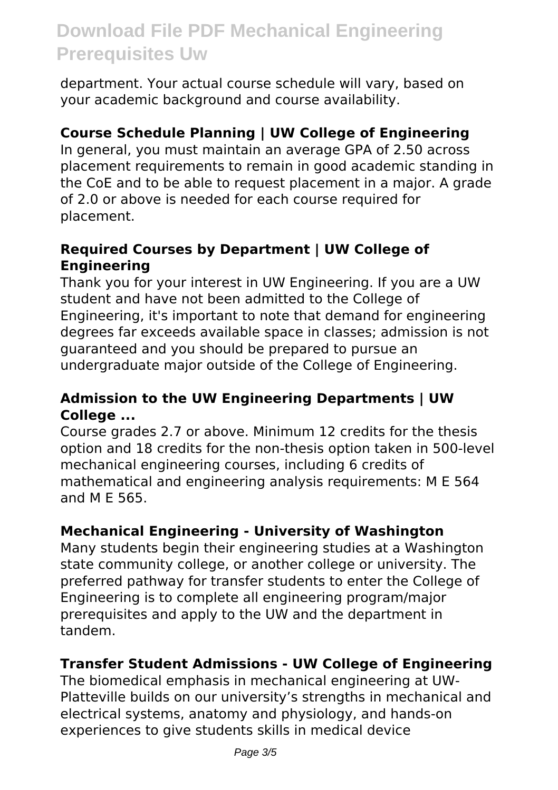department. Your actual course schedule will vary, based on your academic background and course availability.

#### **Course Schedule Planning | UW College of Engineering**

In general, you must maintain an average GPA of 2.50 across placement requirements to remain in good academic standing in the CoE and to be able to request placement in a major. A grade of 2.0 or above is needed for each course required for placement.

#### **Required Courses by Department | UW College of Engineering**

Thank you for your interest in UW Engineering. If you are a UW student and have not been admitted to the College of Engineering, it's important to note that demand for engineering degrees far exceeds available space in classes; admission is not guaranteed and you should be prepared to pursue an undergraduate major outside of the College of Engineering.

#### **Admission to the UW Engineering Departments | UW College ...**

Course grades 2.7 or above. Minimum 12 credits for the thesis option and 18 credits for the non-thesis option taken in 500-level mechanical engineering courses, including 6 credits of mathematical and engineering analysis requirements: M E 564 and M E 565.

#### **Mechanical Engineering - University of Washington**

Many students begin their engineering studies at a Washington state community college, or another college or university. The preferred pathway for transfer students to enter the College of Engineering is to complete all engineering program/major prerequisites and apply to the UW and the department in tandem.

#### **Transfer Student Admissions - UW College of Engineering**

The biomedical emphasis in mechanical engineering at UW-Platteville builds on our university's strengths in mechanical and electrical systems, anatomy and physiology, and hands-on experiences to give students skills in medical device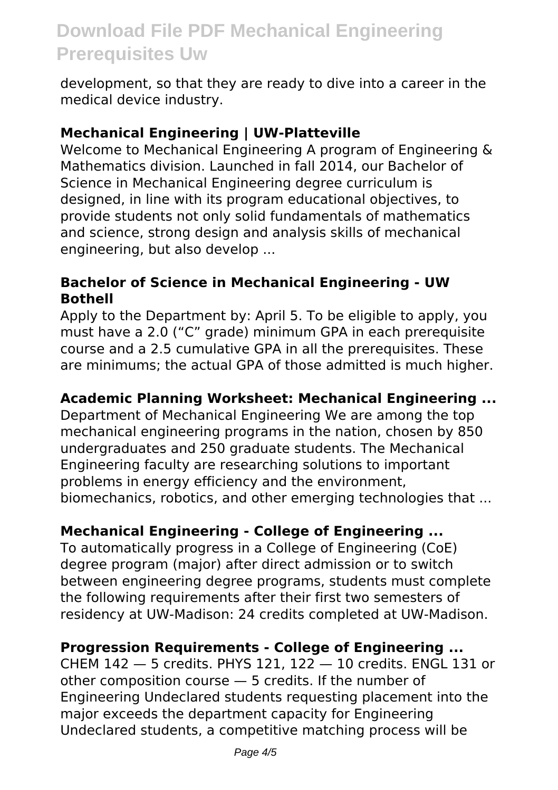development, so that they are ready to dive into a career in the medical device industry.

#### **Mechanical Engineering | UW-Platteville**

Welcome to Mechanical Engineering A program of Engineering & Mathematics division. Launched in fall 2014, our Bachelor of Science in Mechanical Engineering degree curriculum is designed, in line with its program educational objectives, to provide students not only solid fundamentals of mathematics and science, strong design and analysis skills of mechanical engineering, but also develop ...

#### **Bachelor of Science in Mechanical Engineering - UW Bothell**

Apply to the Department by: April 5. To be eligible to apply, you must have a 2.0 ("C" grade) minimum GPA in each prerequisite course and a 2.5 cumulative GPA in all the prerequisites. These are minimums; the actual GPA of those admitted is much higher.

#### **Academic Planning Worksheet: Mechanical Engineering ...**

Department of Mechanical Engineering We are among the top mechanical engineering programs in the nation, chosen by 850 undergraduates and 250 graduate students. The Mechanical Engineering faculty are researching solutions to important problems in energy efficiency and the environment, biomechanics, robotics, and other emerging technologies that ...

#### **Mechanical Engineering - College of Engineering ...**

To automatically progress in a College of Engineering (CoE) degree program (major) after direct admission or to switch between engineering degree programs, students must complete the following requirements after their first two semesters of residency at UW-Madison: 24 credits completed at UW-Madison.

#### **Progression Requirements - College of Engineering ...**

CHEM 142 — 5 credits. PHYS 121, 122 — 10 credits. ENGL 131 or other composition course — 5 credits. If the number of Engineering Undeclared students requesting placement into the major exceeds the department capacity for Engineering Undeclared students, a competitive matching process will be